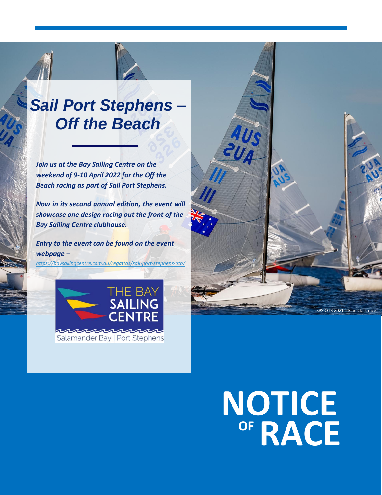# *Sail Port Stephens – Off the Beach*

*Join us at the Bay Sailing Centre on the weekend of 9-10 April 2022 for the Off the Beach racing as part of Sail Port Stephens.* 

*Now in its second annual edition, the event will showcase one design racing out the front of the Bay Sailing Centre clubhouse.* 

*Entry to the event can be found on the event webpage – https://baysailingcentre.com.au/regattas/sail-port-stephens-otb/*





# **NOTICE RACE OF**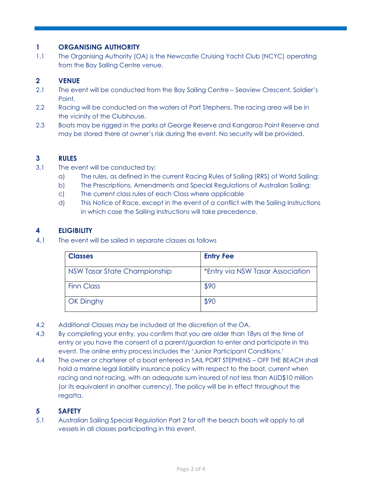# **1 ORGANISING AUTHORITY**

1.1 The Organising Authority (OA) is the Newcastle Cruising Yacht Club (NCYC) operating from the Bay Sailing Centre venue.

### **2 VENUE**

- 2.1 The event will be conducted from the Bay Sailing Centre Seaview Crescent, Soldier's Point.
- 2.2 Racing will be conducted on the waters of Port Stephens. The racing area will be in the vicinity of the Clubhouse.
- 2.3 Boats may be rigged in the parks at George Reserve and Kangaroo Point Reserve and may be stored there at owner's risk during the event. No security will be provided.

# **3 RULES**

- 3.1 The event will be conducted by:
	- a) The rules, as defined in the current Racing Rules of Sailing (RRS) of World Sailing;
	- b) The Prescriptions, Amendments and Special Regulations of Australian Sailing;
	- c) The current class rules of each Class where applicable
	- d) This Notice of Race, except in the event of a conflict with the Sailing Instructions in which case the Sailing Instructions will take precedence.

# **4 ELIGIBILITY**

4.1 The event will be sailed in separate classes as follows

| <b>Classes</b>               | <b>Entry Fee</b>                 |
|------------------------------|----------------------------------|
| NSW Tasar State Championship | *Entry via NSW Tasar Association |
| <b>Finn Class</b>            | \$90                             |
| <b>OK Dinghy</b>             | \$90                             |

- 4.2 Additional Classes may be included at the discretion of the OA.
- 4.3 By completing your entry, you confirm that you are older than 18yrs at the time of entry or you have the consent of a parent/guardian to enter and participate in this event. The online entry process includes the 'Junior Participant Conditions.'
- 4.4 The owner or charterer of a boat entered in SAIL PORT STEPHENS OFF THE BEACH shall hold a marine legal liability insurance policy with respect to the boat, current when racing and not racing, with an adequate sum insured of not less than AUD\$10 million (or its equivalent in another currency). The policy will be in effect throughout the regatta.

# **5 SAFETY**

5.1 Australian Sailing Special Regulation Part 2 for off the beach boats will apply to all vessels in all classes participating in this event.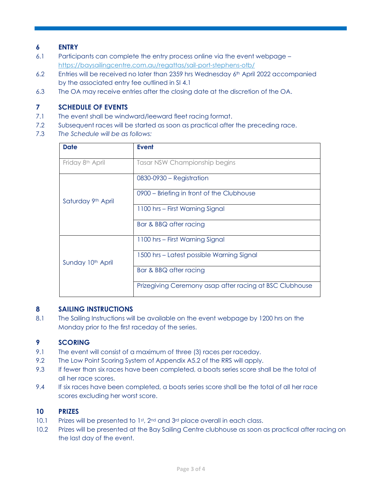# **6 ENTRY**

- 6.1 Participants can complete the entry process online via the event webpage https://baysailingcentre.com.au/regattas/sail-port-stephens-otb/
- 6.2 Entries will be received no later than 2359 hrs Wednesday 6th April 2022 accompanied by the associated entry fee outlined in SI 4.1
- 6.3 The OA may receive entries after the closing date at the discretion of the OA.

# **7 SCHEDULE OF EVENTS**

- 7.1 The event shall be windward/leeward fleet racing format.
- 7.2 Subsequent races will be started as soon as practical after the preceding race.
- 7.3 *The Schedule will be as follows:*

| Date                         | <b>Event</b>                                            |
|------------------------------|---------------------------------------------------------|
| Friday 8 <sup>th</sup> April | Tasar NSW Championship begins                           |
| Saturday 9th April           | 0830-0930 – Registration                                |
|                              | 0900 – Briefing in front of the Clubhouse               |
|                              | 1100 hrs - First Warning Signal                         |
|                              | Bar & BBQ after racing                                  |
| Sunday 10th April            | 1100 hrs - First Warning Signal                         |
|                              | 1500 hrs – Latest possible Warning Signal               |
|                              | Bar & BBQ after racing                                  |
|                              | Prizegiving Ceremony asap after racing at BSC Clubhouse |

### **8 SAILING INSTRUCTIONS**

8.1 The Sailing Instructions will be available on the event webpage by 1200 hrs on the Monday prior to the first raceday of the series.

### **9 SCORING**

- 9.1 The event will consist of a maximum of three (3) races per raceday.
- 9.2 The Low Point Scoring System of Appendix A5.2 of the RRS will apply.
- 9.3 If fewer than six races have been completed, a boats series score shall be the total of all her race scores.
- 9.4 If six races have been completed, a boats series score shall be the total of all her race scores excluding her worst score.

#### **10 PRIZES**

- 10.1 Prizes will be presented to 1st,  $2^{nd}$  and  $3^{rd}$  place overall in each class.
- 10.2 Prizes will be presented at the Bay Sailing Centre clubhouse as soon as practical after racing on the last day of the event.